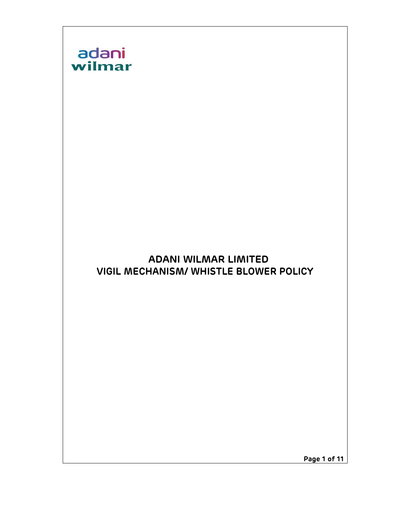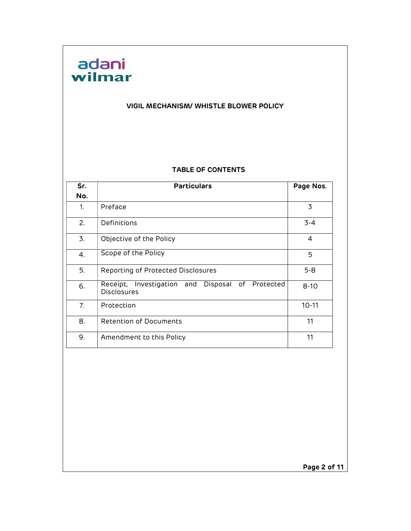# adani<br>wilmar

#### VIGIL MECHANISM/ WHISTLE BLOWER POLICY

#### TABLE OF CONTENTS

| Sr.            | <b>Particulars</b>                                                        | Page Nos. |
|----------------|---------------------------------------------------------------------------|-----------|
| No.            |                                                                           |           |
| 1.             | Preface                                                                   | 3         |
| 2.             | Definitions                                                               | $3 - 4$   |
| 3.             | Objective of the Policy                                                   | 4         |
| 4.             | Scope of the Policy                                                       | 5         |
| 5.             | Reporting of Protected Disclosures                                        | $5 - 8$   |
| 6.             | Disposal of Protected<br>Receipt, Investigation and<br><b>Disclosures</b> | $8 - 10$  |
| 7 <sub>1</sub> | Protection                                                                | $10 - 11$ |
| 8.             | Retention of Documents                                                    | 11        |
| 9.             | Amendment to this Policy                                                  | 11        |

Page 2 of 11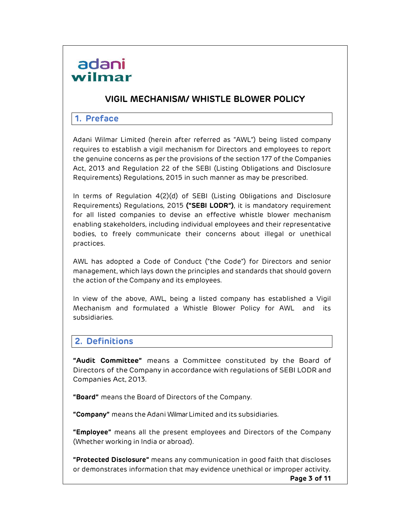### VIGIL MECHANISM/ WHISTLE BLOWER POLICY

#### 1. Preface

Adani Wilmar Limited (herein after referred as "AWL") being listed company requires to establish a vigil mechanism for Directors and employees to report the genuine concerns as per the provisions of the section 177 of the Companies Act, 2013 and Regulation 22 of the SEBI (Listing Obligations and Disclosure Requirements) Regulations, 2015 in such manner as may be prescribed.

In terms of Regulation 4(2)(d) of SEBI (Listing Obligations and Disclosure Requirements) Regulations, 2015 ("SEBI LODR"), it is mandatory requirement for all listed companies to devise an effective whistle blower mechanism enabling stakeholders, including individual employees and their representative bodies, to freely communicate their concerns about illegal or unethical practices.

AWL has adopted a Code of Conduct ("the Code") for Directors and senior management, which lays down the principles and standards that should govern the action of the Company and its employees.

In view of the above, AWL, being a listed company has established a Vigil Mechanism and formulated a Whistle Blower Policy for AWL and its subsidiaries.

#### 2. Definitions

"Audit Committee" means a Committee constituted by the Board of Directors of the Company in accordance with regulations of SEBI LODR and Companies Act, 2013.

"Board" means the Board of Directors of the Company.

"Company" means the Adani Wilmar Limited and its subsidiaries.

"Employee" means all the present employees and Directors of the Company (Whether working in India or abroad).

"Protected Disclosure" means any communication in good faith that discloses or demonstrates information that may evidence unethical or improper activity.

Page 3 of 11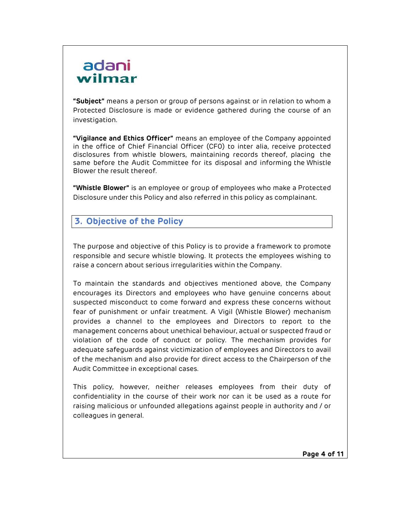"Subject" means a person or group of persons against or in relation to whom a Protected Disclosure is made or evidence gathered during the course of an investigation.

"Vigilance and Ethics Officer" means an employee of the Company appointed in the office of Chief Financial Officer (CF0) to inter alia, receive protected disclosures from whistle blowers, maintaining records thereof, placing the same before the Audit Committee for its disposal and informing the Whistle Blower the result thereof.

"Whistle Blower" is an employee or group of employees who make a Protected Disclosure under this Policy and also referred in this policy as complainant.

### 3. Objective of the Policy

The purpose and objective of this Policy is to provide a framework to promote responsible and secure whistle blowing. It protects the employees wishing to raise a concern about serious irregularities within the Company.

To maintain the standards and objectives mentioned above, the Company encourages its Directors and employees who have genuine concerns about suspected misconduct to come forward and express these concerns without fear of punishment or unfair treatment. A Vigil (Whistle Blower) mechanism provides a channel to the employees and Directors to report to the management concerns about unethical behaviour, actual or suspected fraud or violation of the code of conduct or policy. The mechanism provides for adequate safeguards against victimization of employees and Directors to avail of the mechanism and also provide for direct access to the Chairperson of the Audit Committee in exceptional cases.

This policy, however, neither releases employees from their duty of confidentiality in the course of their work nor can it be used as a route for raising malicious or unfounded allegations against people in authority and / or colleagues in general.

Page 4 of 11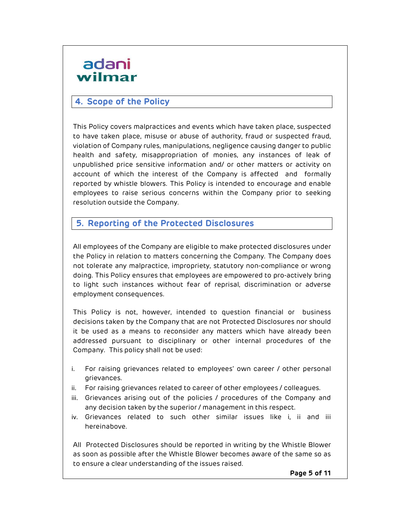### 4. Scope of the Policy

This Policy covers malpractices and events which have taken place, suspected to have taken place, misuse or abuse of authority, fraud or suspected fraud, violation of Company rules, manipulations, negligence causing danger to public health and safety, misappropriation of monies, any instances of leak of unpublished price sensitive information and/ or other matters or activity on account of which the interest of the Company is affected and formally reported by whistle blowers. This Policy is intended to encourage and enable employees to raise serious concerns within the Company prior to seeking resolution outside the Company.

### 5. Reporting of the Protected Disclosures

All employees of the Company are eligible to make protected disclosures under the Policy in relation to matters concerning the Company. The Company does not tolerate any malpractice, impropriety, statutory non-compliance or wrong doing. This Policy ensures that employees are empowered to pro-actively bring to light such instances without fear of reprisal, discrimination or adverse employment consequences.

This Policy is not, however, intended to question financial or business decisions taken by the Company that are not Protected Disclosures nor should it be used as a means to reconsider any matters which have already been addressed pursuant to disciplinary or other internal procedures of the Company. This policy shall not be used:

- i. For raising grievances related to employees' own career / other personal grievances.
- ii. For raising grievances related to career of other employees / colleagues.
- iii. Grievances arising out of the policies / procedures of the Company and any decision taken by the superior / management in this respect.
- iv. Grievances related to such other similar issues like i, ii and iii hereinabove.

All Protected Disclosures should be reported in writing by the Whistle Blower as soon as possible after the Whistle Blower becomes aware of the same so as to ensure a clear understanding of the issues raised.

Page 5 of 11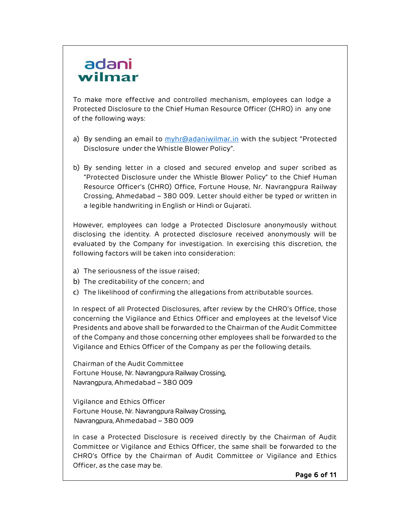To make more effective and controlled mechanism, employees can lodge a Protected Disclosure to the Chief Human Resource Officer (CHRO) in any one of the following ways:

- a) By sending an email to  $\frac{myhr@adaniwilmar.in}{mwh@adaniwilmar.in}$  with the subject "Protected Disclosure under the Whistle Blower Policy".
- b) By sending letter in a closed and secured envelop and super scribed as "Protected Disclosure under the Whistle Blower Policy" to the Chief Human Resource Officer's (CHRO) Office, Fortune House, Nr. Navrangpura Railway Crossing, Ahmedabad – 380 009. Letter should either be typed or written in a legible handwriting in English or Hindi or Gujarati.

However, employees can lodge a Protected Disclosure anonymously without disclosing the identity. A protected disclosure received anonymously will be evaluated by the Company for investigation. In exercising this discretion, the following factors will be taken into consideration:

- a) The seriousness of the issue raised;
- b) The creditability of the concern; and
- c) The likelihood of confirming the allegations from attributable sources.

In respect of all Protected Disclosures, after review by the CHRO's Office, those concerning the Vigilance and Ethics Officer and employees at the levels of Vice Presidents and above shall be forwarded to the Chairman of the Audit Committee of the Company and those concerning other employees shall be forwarded to the Vigilance and Ethics Officer of the Company as per the following details.

Chairman of the Audit Committee Fortune House, Nr. Navrangpura Railway Crossing, Navrangpura, Ahmedabad – 380 009

Vigilance and Ethics Officer Fortune House, Nr. Navrangpura Railway Crossing, Navrangpura, Ahmedabad – 380 009

In case a Protected Disclosure is received directly by the Chairman of Audit Committee or Vigilance and Ethics Officer, the same shall be forwarded to the CHRO's Office by the Chairman of Audit Committee or Vigilance and Ethics Officer, as the case may be.

Page 6 of 11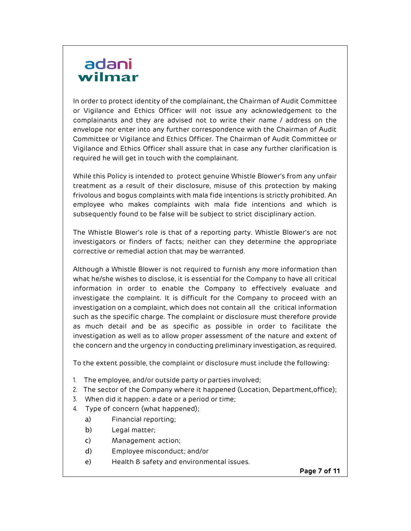In order to protect identity of the complainant, the Chairman of Audit Committee or Vigilance and Ethics Officer will not issue any acknowledgement to the complainants and they are advised not to write their name / address on the envelope nor enter into any further correspondence with the Chairman of Audit Committee or Vigilance and Ethics Officer. The Chairman of Audit Committee or Vigilance and Ethics Officer shall assure that in case any further clarification is required he will get in touch with the complainant.

While this Policy is intended to protect genuine Whistle Blower's from any unfair treatment as a result of their disclosure, misuse of this protection by making frivolous and bogus complaints with mala fide intentions is strictly prohibited. An employee who makes complaints with mala fide intentions and which is subsequently found to be false will be subject to strict disciplinary action.

The Whistle Blower's role is that of a reporting party. Whistle Blower's are not investigators or finders of facts; neither can they determine the appropriate corrective or remedial action that may be warranted.

Although a Whistle Blower is not required to furnish any more information than what he/she wishes to disclose, it is essential for the Company to have all critical information in order to enable the Company to effectively evaluate and investigate the complaint. It is difficult for the Company to proceed with an investigation on a complaint, which does not contain all the critical information such as the specific charge. The complaint or disclosure must therefore provide as much detail and be as specific as possible in order to facilitate the investigation as well as to allow proper assessment of the nature and extent of the concern and the urgency in conducting preliminary investigation, as required.

To the extent possible, the complaint or disclosure must include the following:

- 1. The employee, and/or outside party or parties involved;
- 2. The sector of the Company where it happened (Location, Department, office);
- 3. When did it happen: a date or a period or time;
- 4. Type of concern (what happened);
	- a) Financial reporting;
	- b) Legal matter;
	- c) Management action;
	- d) Employee misconduct; and/or
	- e) Health & safety and environmental issues.

Page 7 of 11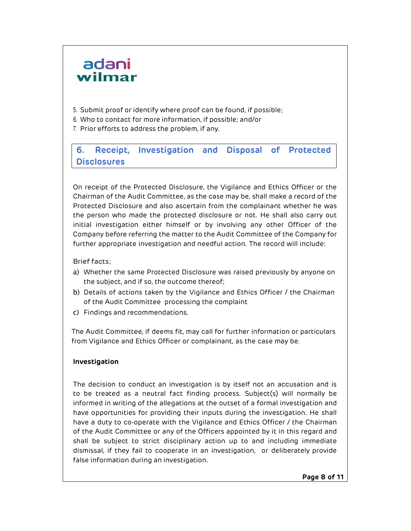- 5. Submit proof or identify where proof can be found, if possible;
- 6. Who to contact for more information, if possible; and/or
- 7. Prior efforts to address the problem, if any.

### 6. Receipt, Investigation and Disposal of Protected Disclosures

On receipt of the Protected Disclosure, the Vigilance and Ethics Officer or the Chairman of the Audit Committee, as the case may be, shall make a record of the Protected Disclosure and also ascertain from the complainant whether he was the person who made the protected disclosure or not. He shall also carry out initial investigation either himself or by involving any other Officer of the Company before referring the matter to the Audit Committee of the Company for further appropriate investigation and needful action. The record will include:

#### Brief facts;

- a) Whether the same Protected Disclosure was raised previously by anyone on the subject, and if so, the outcome thereof;
- b) Details of actions taken by the Vigilance and Ethics Officer / the Chairman of the Audit Committee processing the complaint
- c) Findings and recommendations.

The Audit Committee, if deems fit, may call for further information or particulars from Vigilance and Ethics Officer or complainant, as the case may be.

#### Investigation

The decision to conduct an investigation is by itself not an accusation and is to be treated as a neutral fact finding process. Subject(s) will normally be informed in writing of the allegations at the outset of a formal investigation and have opportunities for providing their inputs during the investigation. He shall have a duty to co-operate with the Vigilance and Ethics Officer / the Chairman of the Audit Committee or any of the Officers appointed by it in this regard and shall be subject to strict disciplinary action up to and including immediate dismissal, if they fail to cooperate in an investigation, or deliberately provide false information during an investigation.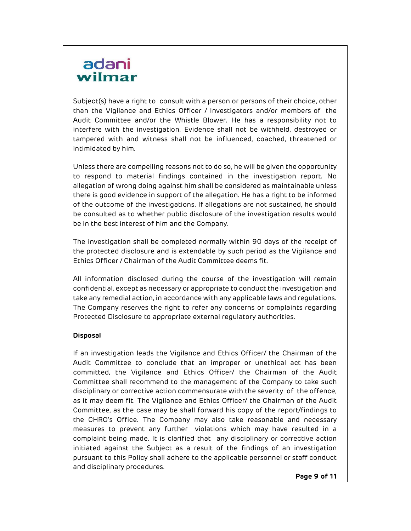Subject(s) have a right to consult with a person or persons of their choice, other than the Vigilance and Ethics Officer / Investigators and/or members of the Audit Committee and/or the Whistle Blower. He has a responsibility not to interfere with the investigation. Evidence shall not be withheld, destroyed or tampered with and witness shall not be influenced, coached, threatened or intimidated by him.

Unless there are compelling reasons not to do so, he will be given the opportunity to respond to material findings contained in the investigation report. No allegation of wrong doing against him shall be considered as maintainable unless there is good evidence in support of the allegation. He has a right to be informed of the outcome of the investigations. If allegations are not sustained, he should be consulted as to whether public disclosure of the investigation results would be in the best interest of him and the Company.

The investigation shall be completed normally within 90 days of the receipt of the protected disclosure and is extendable by such period as the Vigilance and Ethics Officer / Chairman of the Audit Committee deems fit.

All information disclosed during the course of the investigation will remain confidential, except as necessary or appropriate to conduct the investigation and take any remedial action, in accordance with any applicable laws and regulations. The Company reserves the right to refer any concerns or complaints regarding Protected Disclosure to appropriate external regulatory authorities.

#### Disposal

If an investigation leads the Vigilance and Ethics Officer/ the Chairman of the Audit Committee to conclude that an improper or unethical act has been committed, the Vigilance and Ethics Officer/ the Chairman of the Audit Committee shall recommend to the management of the Company to take such disciplinary or corrective action commensurate with the severity of the offence, as it may deem fit. The Vigilance and Ethics Officer/ the Chairman of the Audit Committee, as the case may be shall forward his copy of the report/findings to the CHRO's Office. The Company may also take reasonable and necessary measures to prevent any further violations which may have resulted in a complaint being made. It is clarified that any disciplinary or corrective action initiated against the Subject as a result of the findings of an investigation pursuant to this Policy shall adhere to the applicable personnel or staff conduct and disciplinary procedures.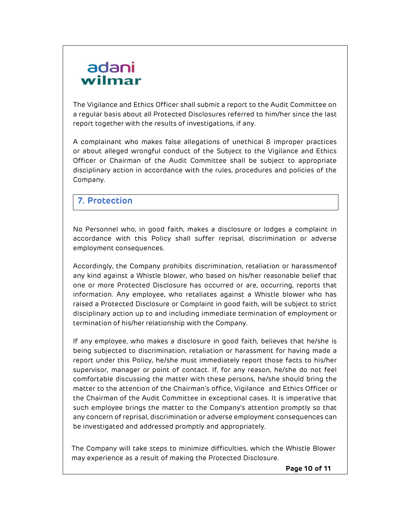The Vigilance and Ethics Officer shall submit a report to the Audit Committee on a regular basis about all Protected Disclosures referred to him/her since the last report together with the results of investigations, if any.

A complainant who makes false allegations of unethical & improper practices or about alleged wrongful conduct of the Subject to the Vigilance and Ethics Officer or Chairman of the Audit Committee shall be subject to appropriate disciplinary action in accordance with the rules, procedures and policies of the Company.

### 7. Protection

No Personnel who, in good faith, makes a disclosure or lodges a complaint in accordance with this Policy shall suffer reprisal, discrimination or adverse employment consequences.

Accordingly, the Company prohibits discrimination, retaliation or harassmentof any kind against a Whistle blower, who based on his/her reasonable belief that one or more Protected Disclosure has occurred or are, occurring, reports that information. Any employee, who retaliates against a Whistle blower who has raised a Protected Disclosure or Complaint in good faith, will be subject to strict disciplinary action up to and including immediate termination of employment or termination of his/her relationship with the Company.

If any employee, who makes a disclosure in good faith, believes that he/she is being subjected to discrimination, retaliation or harassment for having made a report under this Policy, he/she must immediately report those facts to his/her supervisor, manager or point of contact. If, for any reason, he/she do not feel comfortable discussing the matter with these persons, he/she should bring the matter to the attention of the Chairman's office, Vigilance and Ethics Officer or the Chairman of the Audit Committee in exceptional cases. It is imperative that such employee brings the matter to the Company's attention promptly so that any concern of reprisal, discrimination or adverse employment consequences can be investigated and addressed promptly and appropriately.

The Company will take steps to minimize difficulties, which the Whistle Blower may experience as a result of making the Protected Disclosure.